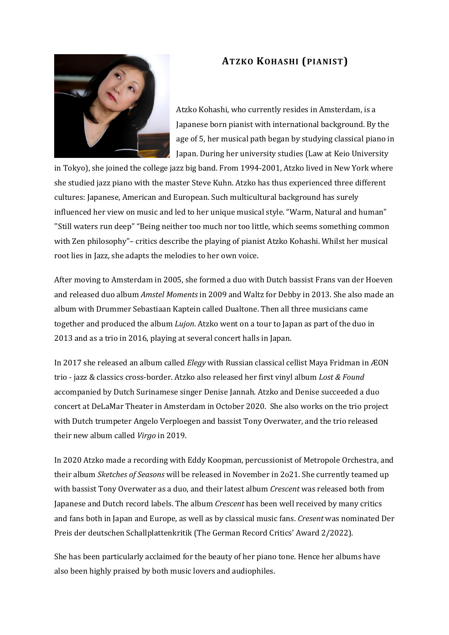## **ATZKO KOHASHI (PIANIST)**



Atzko Kohashi, who currently resides in Amsterdam, is a Japanese born pianist with international background. By the age of 5, her musical path began by studying classical piano in Japan. During her university studies (Law at Keio University

in Tokyo), she joined the college jazz big band. From 1994-2001, Atzko lived in New York where she studied jazz piano with the master Steve Kuhn. Atzko has thus experienced three different cultures: Japanese, American and European. Such multicultural background has surely influenced her view on music and led to her unique musical style. "Warm, Natural and human" ''Still waters run deep" "Being neither too much nor too little, which seems something common with Zen philosophy"– critics describe the playing of pianist Atzko Kohashi. Whilst her musical root lies in Jazz, she adapts the melodies to her own voice.

After moving to Amsterdam in 2005, she formed a duo with Dutch bassist Frans van der Hoeven and released duo album *Amstel Moments* in 2009 and Waltz for Debby in 2013. She also made an album with Drummer Sebastiaan Kaptein called Dualtone. Then all three musicians came together and produced the album *Lujon*. Atzko went on a tour to Japan as part of the duo in 2013 and as a trio in 2016, playing at several concert halls in Japan.

In 2017 she released an album called *Elegy* with Russian classical cellist Maya Fridman in ÆON trio - jazz & classics cross-border. Atzko also released her first vinyl album *Lost & Found* accompanied by Dutch Surinamese singer Denise Jannah. Atzko and Denise succeeded a duo concert at DeLaMar Theater in Amsterdam in October 2020. She also works on the trio project with Dutch trumpeter Angelo Verploegen and bassist Tony Overwater, and the trio released their new album called *Virgo* in 2019.

In 2020 Atzko made a recording with Eddy Koopman, percussionist of Metropole Orchestra, and their album *Sketches of Seasons* will be released in November in 2o21. She currently teamed up with bassist Tony Overwater as a duo, and their latest album *Crescent* was released both from Japanese and Dutch record labels. The album *Crescent* has been well received by many critics and fans both in Japan and Europe, as well as by classical music fans. *Cresent* was nominated Der Preis der deutschen Schallplattenkritik (The German Record Critics' Award 2/2022).

She has been particularly acclaimed for the beauty of her piano tone. Hence her albums have also been highly praised by both music lovers and audiophiles.